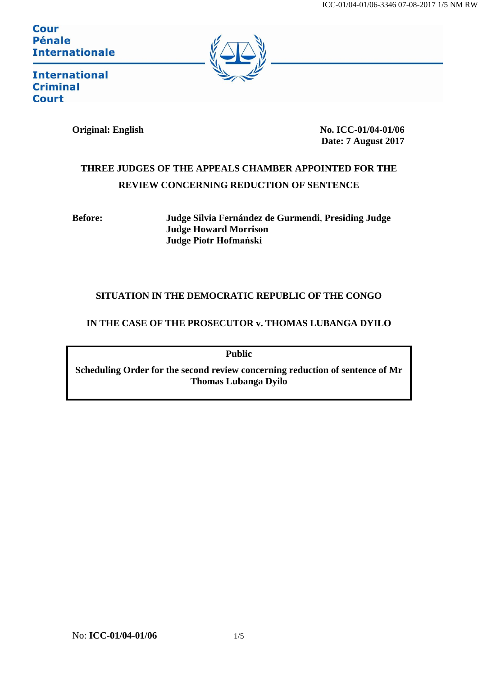**Cour Pénale Internationale** 



**International Criminal Court** 

**Original: English No. ICC-01/04-01/06 Date: 7 August 2017**

# **THREE JUDGES OF THE APPEALS CHAMBER APPOINTED FOR THE REVIEW CONCERNING REDUCTION OF SENTENCE**

**Before: Judge Silvia Fernández de Gurmendi**, **Presiding Judge Judge Howard Morrison Judge Piotr Hofmański**

## **SITUATION IN THE DEMOCRATIC REPUBLIC OF THE CONGO**

### **IN THE CASE OF THE PROSECUTOR v. THOMAS LUBANGA DYILO**

**Public**

**Scheduling Order for the second review concerning reduction of sentence of Mr Thomas Lubanga Dyilo**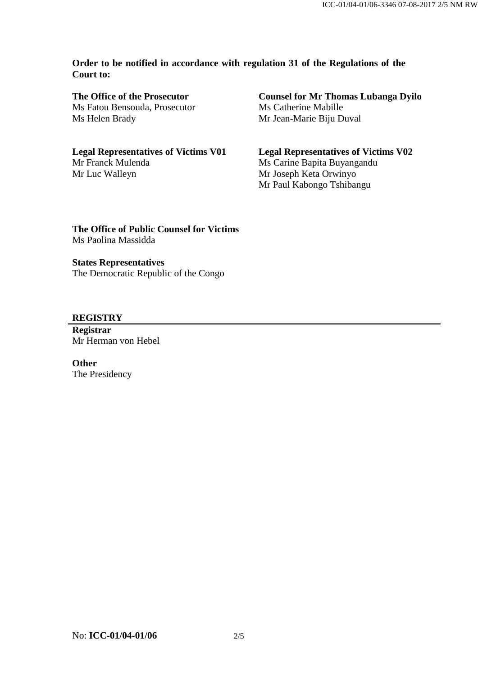#### **Order to be notified in accordance with regulation 31 of the Regulations of the Court to:**

**The Office of the Prosecutor** Ms Fatou Bensouda, Prosecutor Ms Helen Brady

**Legal Representatives of Victims V01** Mr Franck Mulenda Mr Luc Walleyn

**Counsel for Mr Thomas Lubanga Dyilo** Ms Catherine Mabille Mr Jean-Marie Biju Duval

**Legal Representatives of Victims V02** Ms Carine Bapita Buyangandu Mr Joseph Keta Orwinyo Mr Paul Kabongo Tshibangu

**The Office of Public Counsel for Victims** Ms Paolina Massidda

#### **States Representatives**

The Democratic Republic of the Congo

#### **REGISTRY**

**Registrar** Mr Herman von Hebel

**Other** The Presidency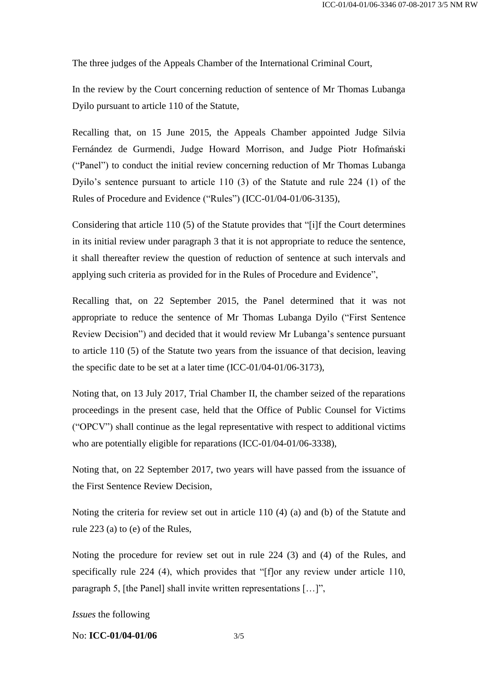The three judges of the Appeals Chamber of the International Criminal Court,

In the review by the Court concerning reduction of sentence of Mr Thomas Lubanga Dyilo pursuant to article 110 of the Statute,

Recalling that, on 15 June 2015, the Appeals Chamber appointed Judge Silvia Fernández de Gurmendi, Judge Howard Morrison, and Judge Piotr Hofmański ("Panel") to conduct the initial review concerning reduction of Mr Thomas Lubanga Dyilo's sentence pursuant to article 110 (3) of the Statute and rule 224 (1) of the Rules of Procedure and Evidence ("Rules") (ICC-01/04-01/06-3135),

Considering that article 110 (5) of the Statute provides that "[i]f the Court determines in its initial review under paragraph 3 that it is not appropriate to reduce the sentence, it shall thereafter review the question of reduction of sentence at such intervals and applying such criteria as provided for in the Rules of Procedure and Evidence",

Recalling that, on 22 September 2015, the Panel determined that it was not appropriate to reduce the sentence of Mr Thomas Lubanga Dyilo ("First Sentence Review Decision") and decided that it would review Mr Lubanga's sentence pursuant to article 110 (5) of the Statute two years from the issuance of that decision, leaving the specific date to be set at a later time (ICC-01/04-01/06-3173),

Noting that, on 13 July 2017, Trial Chamber II, the chamber seized of the reparations proceedings in the present case, held that the Office of Public Counsel for Victims ("OPCV") shall continue as the legal representative with respect to additional victims who are potentially eligible for reparations (ICC-01/04-01/06-3338),

Noting that, on 22 September 2017, two years will have passed from the issuance of the First Sentence Review Decision,

Noting the criteria for review set out in article 110 (4) (a) and (b) of the Statute and rule 223 (a) to (e) of the Rules,

Noting the procedure for review set out in rule 224 (3) and (4) of the Rules, and specifically rule 224 (4), which provides that "[f]or any review under article 110, paragraph 5, [the Panel] shall invite written representations […]",

*Issues* the following

No: **ICC-01/04-01/06** 3/5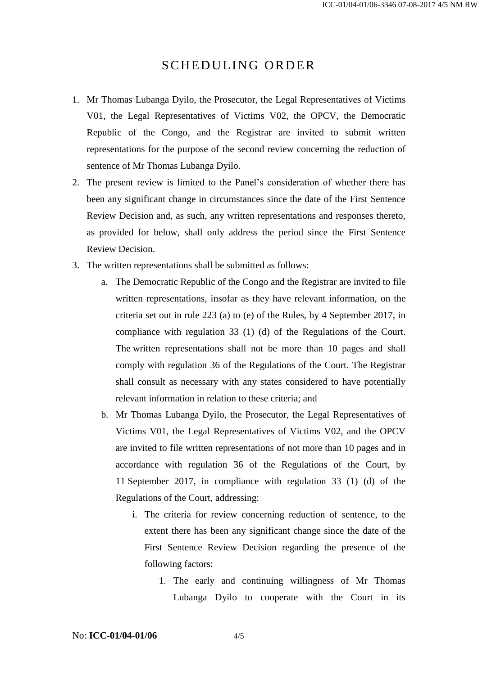## SCHEDULING ORDER

- 1. Mr Thomas Lubanga Dyilo, the Prosecutor, the Legal Representatives of Victims V01, the Legal Representatives of Victims V02, the OPCV, the Democratic Republic of the Congo, and the Registrar are invited to submit written representations for the purpose of the second review concerning the reduction of sentence of Mr Thomas Lubanga Dyilo.
- 2. The present review is limited to the Panel's consideration of whether there has been any significant change in circumstances since the date of the First Sentence Review Decision and, as such, any written representations and responses thereto, as provided for below, shall only address the period since the First Sentence Review Decision.
- 3. The written representations shall be submitted as follows:
	- a. The Democratic Republic of the Congo and the Registrar are invited to file written representations, insofar as they have relevant information, on the criteria set out in rule 223 (a) to (e) of the Rules, by 4 September 2017, in compliance with regulation 33 (1) (d) of the Regulations of the Court. The written representations shall not be more than 10 pages and shall comply with regulation 36 of the Regulations of the Court. The Registrar shall consult as necessary with any states considered to have potentially relevant information in relation to these criteria; and
	- b. Mr Thomas Lubanga Dyilo, the Prosecutor, the Legal Representatives of Victims V01, the Legal Representatives of Victims V02, and the OPCV are invited to file written representations of not more than 10 pages and in accordance with regulation 36 of the Regulations of the Court, by 11 September 2017, in compliance with regulation 33 (1) (d) of the Regulations of the Court, addressing:
		- i. The criteria for review concerning reduction of sentence, to the extent there has been any significant change since the date of the First Sentence Review Decision regarding the presence of the following factors:
			- 1. The early and continuing willingness of Mr Thomas Lubanga Dyilo to cooperate with the Court in its